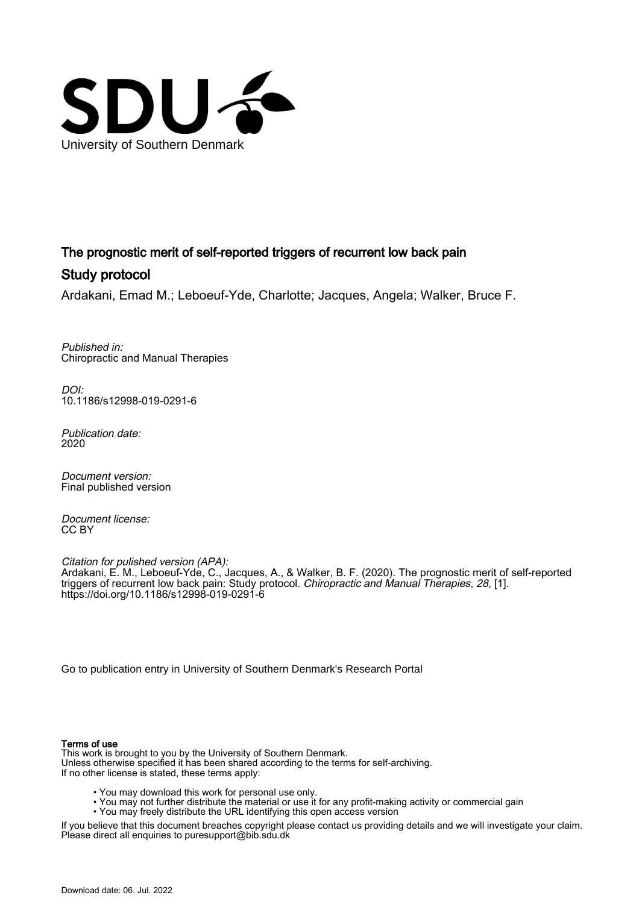

# The prognostic merit of self-reported triggers of recurrent low back pain Study protocol

Ardakani, Emad M.; Leboeuf-Yde, Charlotte; Jacques, Angela; Walker, Bruce F.

Published in: Chiropractic and Manual Therapies

DOI: [10.1186/s12998-019-0291-6](https://doi.org/10.1186/s12998-019-0291-6)

Publication date: 2020

Document version: Final published version

Document license: CC BY

Citation for pulished version (APA): Ardakani, E. M., Leboeuf-Yde, C., Jacques, A., & Walker, B. F. (2020). The prognostic merit of self-reported triggers of recurrent low back pain: Study protocol. *Chiropractic and Manual Therapies*, *28*, [1]. <https://doi.org/10.1186/s12998-019-0291-6>

[Go to publication entry in University of Southern Denmark's Research Portal](https://portal.findresearcher.sdu.dk/en/publications/7e8ebfc5-ba0c-4b49-816d-e712dabb2306)

# Terms of use

This work is brought to you by the University of Southern Denmark. Unless otherwise specified it has been shared according to the terms for self-archiving. If no other license is stated, these terms apply:

- You may download this work for personal use only.
- You may not further distribute the material or use it for any profit-making activity or commercial gain
- You may freely distribute the URL identifying this open access version

If you believe that this document breaches copyright please contact us providing details and we will investigate your claim. Please direct all enquiries to puresupport@bib.sdu.dk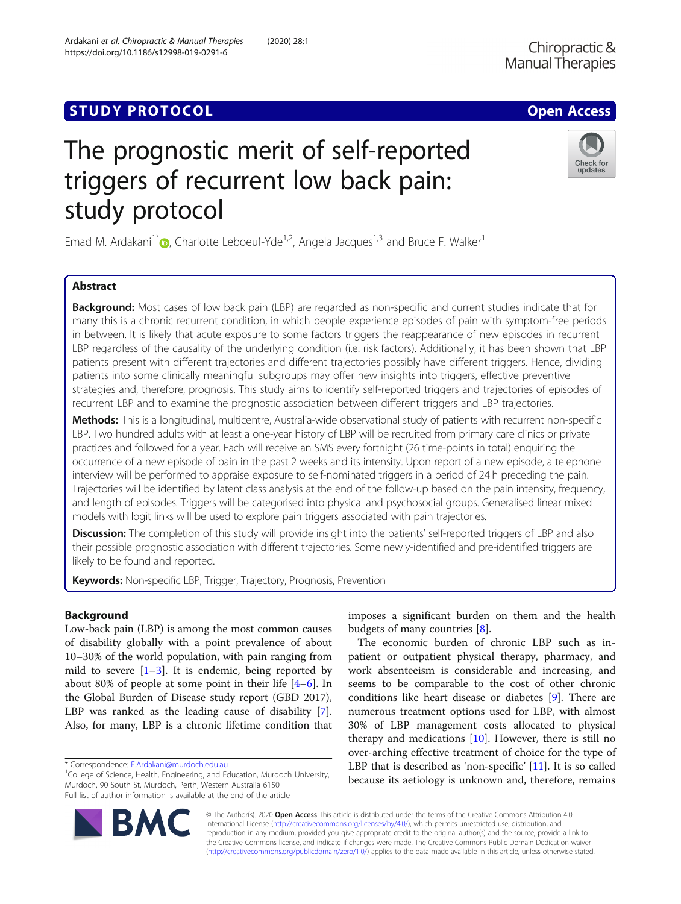# **STUDY PROTOCOL** And the set of the set of the set of the set of the set of the set of the set of the set of the set of the set of the set of the set of the set of the set of the set of the set of the set of the set of the

# The prognostic merit of self-reported triggers of recurrent low back pain: study protocol

Emad M. Ardakani<sup>1[\\*](http://orcid.org/0000-0001-6001-2685)</sup> $\odot$ , Charlotte Leboeuf-Yde<sup>1,2</sup>, Angela Jacques<sup>1,3</sup> and Bruce F. Walker<sup>1</sup>

# Abstract

**Background:** Most cases of low back pain (LBP) are regarded as non-specific and current studies indicate that for many this is a chronic recurrent condition, in which people experience episodes of pain with symptom-free periods in between. It is likely that acute exposure to some factors triggers the reappearance of new episodes in recurrent LBP regardless of the causality of the underlying condition (i.e. risk factors). Additionally, it has been shown that LBP patients present with different trajectories and different trajectories possibly have different triggers. Hence, dividing patients into some clinically meaningful subgroups may offer new insights into triggers, effective preventive strategies and, therefore, prognosis. This study aims to identify self-reported triggers and trajectories of episodes of recurrent LBP and to examine the prognostic association between different triggers and LBP trajectories.

Methods: This is a longitudinal, multicentre, Australia-wide observational study of patients with recurrent non-specific LBP. Two hundred adults with at least a one-year history of LBP will be recruited from primary care clinics or private practices and followed for a year. Each will receive an SMS every fortnight (26 time-points in total) enquiring the occurrence of a new episode of pain in the past 2 weeks and its intensity. Upon report of a new episode, a telephone interview will be performed to appraise exposure to self-nominated triggers in a period of 24 h preceding the pain. Trajectories will be identified by latent class analysis at the end of the follow-up based on the pain intensity, frequency, and length of episodes. Triggers will be categorised into physical and psychosocial groups. Generalised linear mixed models with logit links will be used to explore pain triggers associated with pain trajectories.

**Discussion:** The completion of this study will provide insight into the patients' self-reported triggers of LBP and also their possible prognostic association with different trajectories. Some newly-identified and pre-identified triggers are likely to be found and reported.

Keywords: Non-specific LBP, Trigger, Trajectory, Prognosis, Prevention

# Background

Low-back pain (LBP) is among the most common causes of disability globally with a point prevalence of about 10–30% of the world population, with pain ranging from mild to severe  $[1-3]$  $[1-3]$  $[1-3]$  $[1-3]$  $[1-3]$ . It is endemic, being reported by about 80% of people at some point in their life  $[4-6]$  $[4-6]$  $[4-6]$  $[4-6]$ . In the Global Burden of Disease study report (GBD 2017), LBP was ranked as the leading cause of disability [\[7](#page-7-0)]. Also, for many, LBP is a chronic lifetime condition that

\* Correspondence: [E.Ardakani@murdoch.edu.au](mailto:E.Ardakani@murdoch.edu.au) <sup>1</sup>

 $1$ College of Science, Health, Engineering, and Education, Murdoch University, Murdoch, 90 South St, Murdoch, Perth, Western Australia 6150 Full list of author information is available at the end of the article

imposes a significant burden on them and the health budgets of many countries [[8](#page-7-0)].

The economic burden of chronic LBP such as inpatient or outpatient physical therapy, pharmacy, and work absenteeism is considerable and increasing, and seems to be comparable to the cost of other chronic conditions like heart disease or diabetes [[9\]](#page-7-0). There are numerous treatment options used for LBP, with almost 30% of LBP management costs allocated to physical therapy and medications  $[10]$  $[10]$ . However, there is still no over-arching effective treatment of choice for the type of LBP that is described as 'non-specific' [[11\]](#page-7-0). It is so called because its aetiology is unknown and, therefore, remains

© The Author(s). 2020 Open Access This article is distributed under the terms of the Creative Commons Attribution 4.0 International License [\(http://creativecommons.org/licenses/by/4.0/](http://creativecommons.org/licenses/by/4.0/)), which permits unrestricted use, distribution, and reproduction in any medium, provided you give appropriate credit to the original author(s) and the source, provide a link to the Creative Commons license, and indicate if changes were made. The Creative Commons Public Domain Dedication waiver [\(http://creativecommons.org/publicdomain/zero/1.0/](http://creativecommons.org/publicdomain/zero/1.0/)) applies to the data made available in this article, unless otherwise stated.





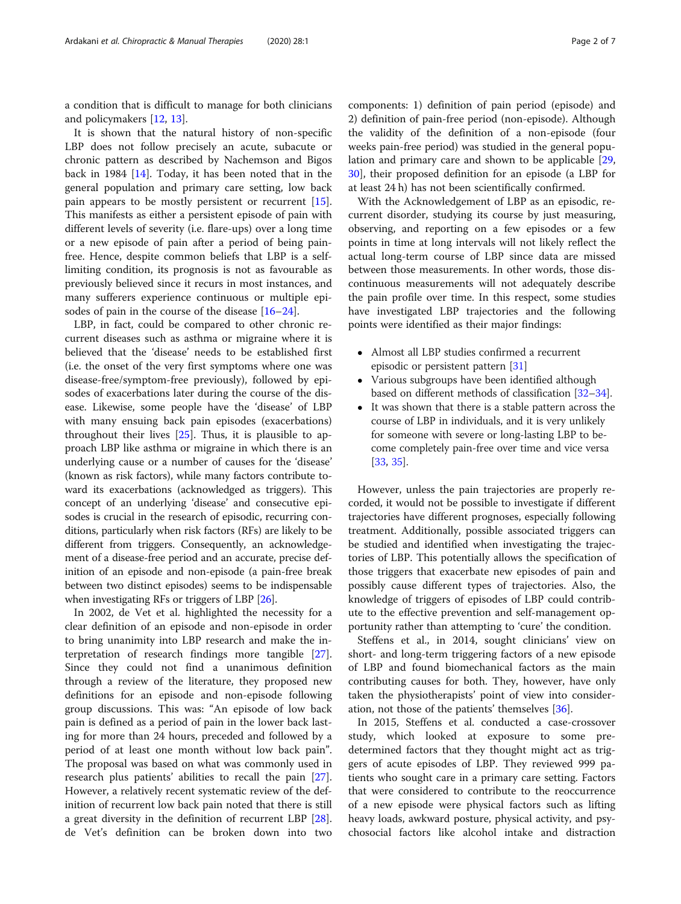a condition that is difficult to manage for both clinicians and policymakers [\[12](#page-7-0), [13](#page-7-0)].

It is shown that the natural history of non-specific LBP does not follow precisely an acute, subacute or chronic pattern as described by Nachemson and Bigos back in 1984 [[14\]](#page-7-0). Today, it has been noted that in the general population and primary care setting, low back pain appears to be mostly persistent or recurrent [\[15](#page-7-0)]. This manifests as either a persistent episode of pain with different levels of severity (i.e. flare-ups) over a long time or a new episode of pain after a period of being painfree. Hence, despite common beliefs that LBP is a selflimiting condition, its prognosis is not as favourable as previously believed since it recurs in most instances, and many sufferers experience continuous or multiple episodes of pain in the course of the disease [\[16](#page-7-0)–[24\]](#page-7-0).

LBP, in fact, could be compared to other chronic recurrent diseases such as asthma or migraine where it is believed that the 'disease' needs to be established first (i.e. the onset of the very first symptoms where one was disease-free/symptom-free previously), followed by episodes of exacerbations later during the course of the disease. Likewise, some people have the 'disease' of LBP with many ensuing back pain episodes (exacerbations) throughout their lives [\[25](#page-7-0)]. Thus, it is plausible to approach LBP like asthma or migraine in which there is an underlying cause or a number of causes for the 'disease' (known as risk factors), while many factors contribute toward its exacerbations (acknowledged as triggers). This concept of an underlying 'disease' and consecutive episodes is crucial in the research of episodic, recurring conditions, particularly when risk factors (RFs) are likely to be different from triggers. Consequently, an acknowledgement of a disease-free period and an accurate, precise definition of an episode and non-episode (a pain-free break between two distinct episodes) seems to be indispensable when investigating RFs or triggers of LBP [[26](#page-7-0)].

In 2002, de Vet et al. highlighted the necessity for a clear definition of an episode and non-episode in order to bring unanimity into LBP research and make the interpretation of research findings more tangible [\[27](#page-7-0)]. Since they could not find a unanimous definition through a review of the literature, they proposed new definitions for an episode and non-episode following group discussions. This was: "An episode of low back pain is defined as a period of pain in the lower back lasting for more than 24 hours, preceded and followed by a period of at least one month without low back pain". The proposal was based on what was commonly used in research plus patients' abilities to recall the pain [\[27](#page-7-0)]. However, a relatively recent systematic review of the definition of recurrent low back pain noted that there is still a great diversity in the definition of recurrent LBP [\[28](#page-7-0)]. de Vet's definition can be broken down into two

components: 1) definition of pain period (episode) and 2) definition of pain-free period (non-episode). Although the validity of the definition of a non-episode (four weeks pain-free period) was studied in the general population and primary care and shown to be applicable [[29](#page-7-0), [30\]](#page-7-0), their proposed definition for an episode (a LBP for at least 24 h) has not been scientifically confirmed.

With the Acknowledgement of LBP as an episodic, recurrent disorder, studying its course by just measuring, observing, and reporting on a few episodes or a few points in time at long intervals will not likely reflect the actual long-term course of LBP since data are missed between those measurements. In other words, those discontinuous measurements will not adequately describe the pain profile over time. In this respect, some studies have investigated LBP trajectories and the following points were identified as their major findings:

- Almost all LBP studies confirmed a recurrent episodic or persistent pattern [[31](#page-7-0)]
- Various subgroups have been identified although based on different methods of classification [\[32](#page-7-0)–[34\]](#page-7-0).
- It was shown that there is a stable pattern across the course of LBP in individuals, and it is very unlikely for someone with severe or long-lasting LBP to become completely pain-free over time and vice versa [[33](#page-7-0), [35](#page-7-0)].

However, unless the pain trajectories are properly recorded, it would not be possible to investigate if different trajectories have different prognoses, especially following treatment. Additionally, possible associated triggers can be studied and identified when investigating the trajectories of LBP. This potentially allows the specification of those triggers that exacerbate new episodes of pain and possibly cause different types of trajectories. Also, the knowledge of triggers of episodes of LBP could contribute to the effective prevention and self-management opportunity rather than attempting to 'cure' the condition.

Steffens et al., in 2014, sought clinicians' view on short- and long-term triggering factors of a new episode of LBP and found biomechanical factors as the main contributing causes for both. They, however, have only taken the physiotherapists' point of view into consideration, not those of the patients' themselves [\[36\]](#page-7-0).

In 2015, Steffens et al. conducted a case-crossover study, which looked at exposure to some predetermined factors that they thought might act as triggers of acute episodes of LBP. They reviewed 999 patients who sought care in a primary care setting. Factors that were considered to contribute to the reoccurrence of a new episode were physical factors such as lifting heavy loads, awkward posture, physical activity, and psychosocial factors like alcohol intake and distraction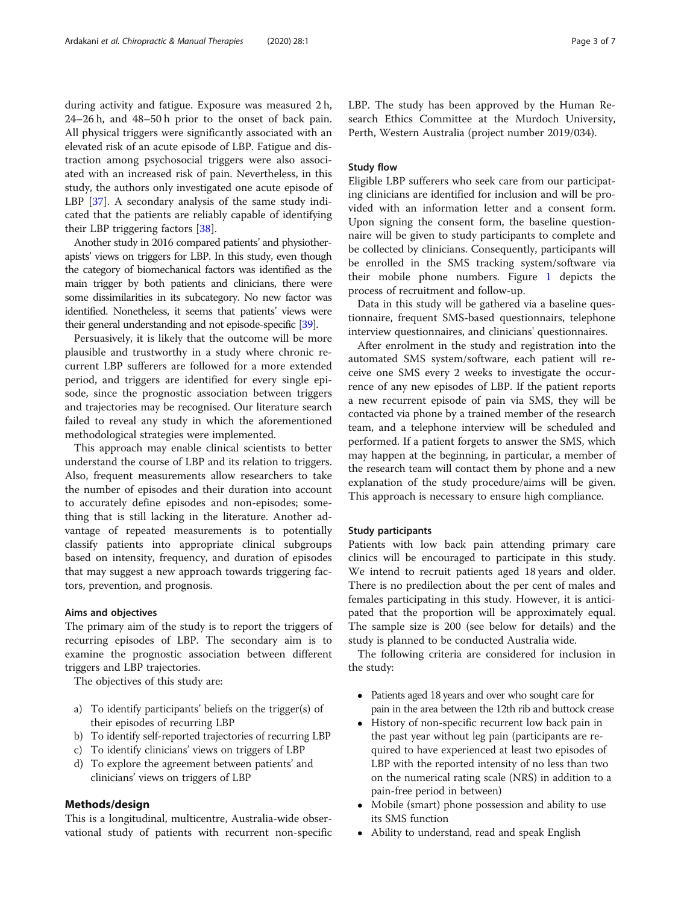during activity and fatigue. Exposure was measured 2 h, 24–26 h, and 48–50 h prior to the onset of back pain. All physical triggers were significantly associated with an elevated risk of an acute episode of LBP. Fatigue and distraction among psychosocial triggers were also associated with an increased risk of pain. Nevertheless, in this study, the authors only investigated one acute episode of LBP [[37\]](#page-7-0). A secondary analysis of the same study indicated that the patients are reliably capable of identifying their LBP triggering factors [[38](#page-7-0)].

Another study in 2016 compared patients' and physiotherapists' views on triggers for LBP. In this study, even though the category of biomechanical factors was identified as the main trigger by both patients and clinicians, there were some dissimilarities in its subcategory. No new factor was identified. Nonetheless, it seems that patients' views were their general understanding and not episode-specific [\[39\]](#page-7-0).

Persuasively, it is likely that the outcome will be more plausible and trustworthy in a study where chronic recurrent LBP sufferers are followed for a more extended period, and triggers are identified for every single episode, since the prognostic association between triggers and trajectories may be recognised. Our literature search failed to reveal any study in which the aforementioned methodological strategies were implemented.

This approach may enable clinical scientists to better understand the course of LBP and its relation to triggers. Also, frequent measurements allow researchers to take the number of episodes and their duration into account to accurately define episodes and non-episodes; something that is still lacking in the literature. Another advantage of repeated measurements is to potentially classify patients into appropriate clinical subgroups based on intensity, frequency, and duration of episodes that may suggest a new approach towards triggering factors, prevention, and prognosis.

#### Aims and objectives

The primary aim of the study is to report the triggers of recurring episodes of LBP. The secondary aim is to examine the prognostic association between different triggers and LBP trajectories.

The objectives of this study are:

- a) To identify participants' beliefs on the trigger(s) of their episodes of recurring LBP
- b) To identify self-reported trajectories of recurring LBP
- c) To identify clinicians' views on triggers of LBP
- d) To explore the agreement between patients' and clinicians' views on triggers of LBP

# Methods/design

This is a longitudinal, multicentre, Australia-wide observational study of patients with recurrent non-specific LBP. The study has been approved by the Human Research Ethics Committee at the Murdoch University, Perth, Western Australia (project number 2019/034).

# Study flow

Eligible LBP sufferers who seek care from our participating clinicians are identified for inclusion and will be provided with an information letter and a consent form. Upon signing the consent form, the baseline questionnaire will be given to study participants to complete and be collected by clinicians. Consequently, participants will be enrolled in the SMS tracking system/software via their mobile phone numbers. Figure [1](#page-4-0) depicts the process of recruitment and follow-up.

Data in this study will be gathered via a baseline questionnaire, frequent SMS-based questionnairs, telephone interview questionnaires, and clinicians' questionnaires.

After enrolment in the study and registration into the automated SMS system/software, each patient will receive one SMS every 2 weeks to investigate the occurrence of any new episodes of LBP. If the patient reports a new recurrent episode of pain via SMS, they will be contacted via phone by a trained member of the research team, and a telephone interview will be scheduled and performed. If a patient forgets to answer the SMS, which may happen at the beginning, in particular, a member of the research team will contact them by phone and a new explanation of the study procedure/aims will be given. This approach is necessary to ensure high compliance.

# Study participants

Patients with low back pain attending primary care clinics will be encouraged to participate in this study. We intend to recruit patients aged 18 years and older. There is no predilection about the per cent of males and females participating in this study. However, it is anticipated that the proportion will be approximately equal. The sample size is 200 (see below for details) and the study is planned to be conducted Australia wide.

The following criteria are considered for inclusion in the study:

- Patients aged 18 years and over who sought care for pain in the area between the 12th rib and buttock crease
- History of non-specific recurrent low back pain in the past year without leg pain (participants are required to have experienced at least two episodes of LBP with the reported intensity of no less than two on the numerical rating scale (NRS) in addition to a pain-free period in between)
- Mobile (smart) phone possession and ability to use its SMS function
- Ability to understand, read and speak English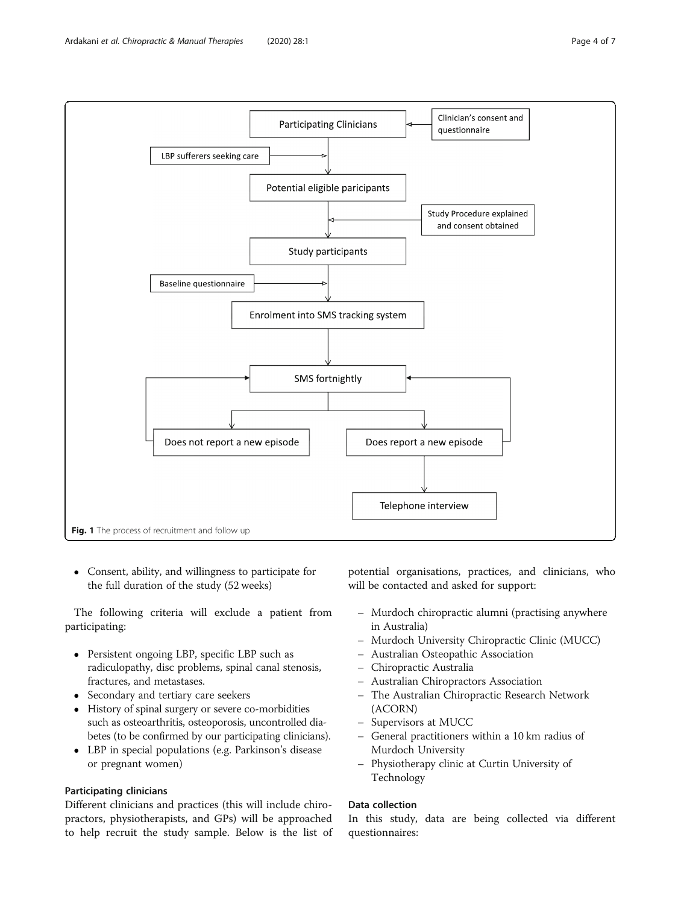<span id="page-4-0"></span>

 Consent, ability, and willingness to participate for the full duration of the study (52 weeks)

The following criteria will exclude a patient from participating:

- Persistent ongoing LBP, specific LBP such as radiculopathy, disc problems, spinal canal stenosis, fractures, and metastases.
- Secondary and tertiary care seekers
- History of spinal surgery or severe co-morbidities such as osteoarthritis, osteoporosis, uncontrolled diabetes (to be confirmed by our participating clinicians).
- LBP in special populations (e.g. Parkinson's disease or pregnant women)

# Participating clinicians

Different clinicians and practices (this will include chiropractors, physiotherapists, and GPs) will be approached to help recruit the study sample. Below is the list of

potential organisations, practices, and clinicians, who will be contacted and asked for support:

- Murdoch chiropractic alumni (practising anywhere in Australia)
- Murdoch University Chiropractic Clinic (MUCC)
- Australian Osteopathic Association
- Chiropractic Australia
- Australian Chiropractors Association
- The Australian Chiropractic Research Network (ACORN)
- Supervisors at MUCC
- General practitioners within a 10 km radius of Murdoch University
- Physiotherapy clinic at Curtin University of Technology

# Data collection

In this study, data are being collected via different questionnaires: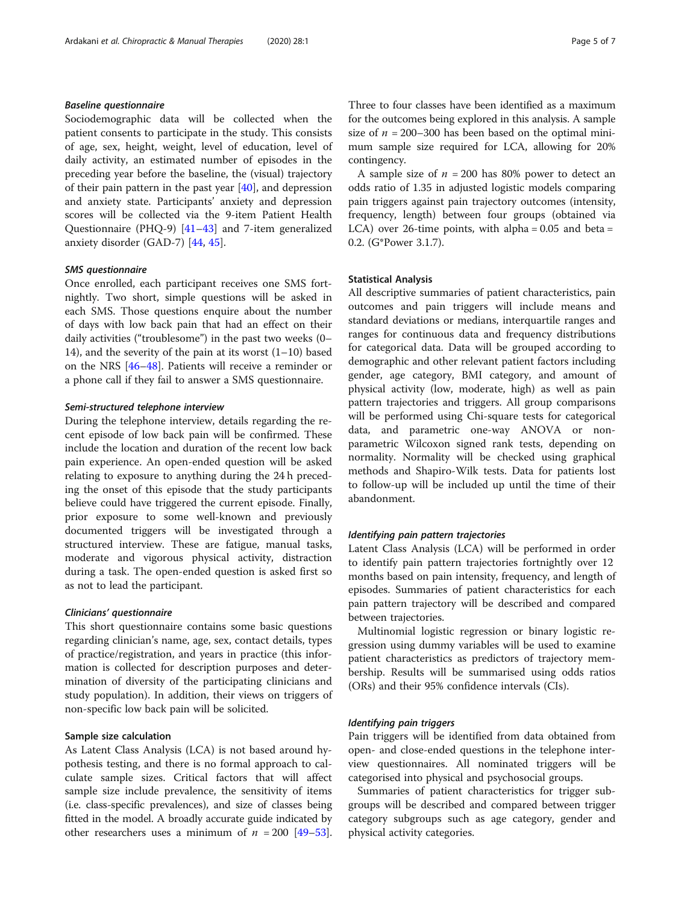# Baseline questionnaire

Sociodemographic data will be collected when the patient consents to participate in the study. This consists of age, sex, height, weight, level of education, level of daily activity, an estimated number of episodes in the preceding year before the baseline, the (visual) trajectory of their pain pattern in the past year [\[40\]](#page-7-0), and depression and anxiety state. Participants' anxiety and depression scores will be collected via the 9-item Patient Health Questionnaire (PHQ-9) [[41](#page-7-0)–[43](#page-7-0)] and 7-item generalized anxiety disorder (GAD-7) [[44,](#page-7-0) [45](#page-7-0)].

# SMS questionnaire

Once enrolled, each participant receives one SMS fortnightly. Two short, simple questions will be asked in each SMS. Those questions enquire about the number of days with low back pain that had an effect on their daily activities ("troublesome") in the past two weeks (0– 14), and the severity of the pain at its worst (1–10) based on the NRS [\[46](#page-7-0)–[48\]](#page-7-0). Patients will receive a reminder or a phone call if they fail to answer a SMS questionnaire.

# Semi-structured telephone interview

During the telephone interview, details regarding the recent episode of low back pain will be confirmed. These include the location and duration of the recent low back pain experience. An open-ended question will be asked relating to exposure to anything during the 24 h preceding the onset of this episode that the study participants believe could have triggered the current episode. Finally, prior exposure to some well-known and previously documented triggers will be investigated through a structured interview. These are fatigue, manual tasks, moderate and vigorous physical activity, distraction during a task. The open-ended question is asked first so as not to lead the participant.

# Clinicians' questionnaire

This short questionnaire contains some basic questions regarding clinician's name, age, sex, contact details, types of practice/registration, and years in practice (this information is collected for description purposes and determination of diversity of the participating clinicians and study population). In addition, their views on triggers of non-specific low back pain will be solicited.

# Sample size calculation

As Latent Class Analysis (LCA) is not based around hypothesis testing, and there is no formal approach to calculate sample sizes. Critical factors that will affect sample size include prevalence, the sensitivity of items (i.e. class-specific prevalences), and size of classes being fitted in the model. A broadly accurate guide indicated by other researchers uses a minimum of  $n = 200$  [\[49](#page-7-0)–[53](#page-7-0)].

Three to four classes have been identified as a maximum for the outcomes being explored in this analysis. A sample size of  $n = 200-300$  has been based on the optimal minimum sample size required for LCA, allowing for 20% contingency.

A sample size of  $n = 200$  has 80% power to detect an odds ratio of 1.35 in adjusted logistic models comparing pain triggers against pain trajectory outcomes (intensity, frequency, length) between four groups (obtained via LCA) over 26-time points, with alpha =  $0.05$  and beta = 0.2. (G\*Power 3.1.7).

# Statistical Analysis

All descriptive summaries of patient characteristics, pain outcomes and pain triggers will include means and standard deviations or medians, interquartile ranges and ranges for continuous data and frequency distributions for categorical data. Data will be grouped according to demographic and other relevant patient factors including gender, age category, BMI category, and amount of physical activity (low, moderate, high) as well as pain pattern trajectories and triggers. All group comparisons will be performed using Chi-square tests for categorical data, and parametric one-way ANOVA or nonparametric Wilcoxon signed rank tests, depending on normality. Normality will be checked using graphical methods and Shapiro-Wilk tests. Data for patients lost to follow-up will be included up until the time of their abandonment.

# Identifying pain pattern trajectories

Latent Class Analysis (LCA) will be performed in order to identify pain pattern trajectories fortnightly over 12 months based on pain intensity, frequency, and length of episodes. Summaries of patient characteristics for each pain pattern trajectory will be described and compared between trajectories.

Multinomial logistic regression or binary logistic regression using dummy variables will be used to examine patient characteristics as predictors of trajectory membership. Results will be summarised using odds ratios (ORs) and their 95% confidence intervals (CIs).

# Identifying pain triggers

Pain triggers will be identified from data obtained from open- and close-ended questions in the telephone interview questionnaires. All nominated triggers will be categorised into physical and psychosocial groups.

Summaries of patient characteristics for trigger subgroups will be described and compared between trigger category subgroups such as age category, gender and physical activity categories.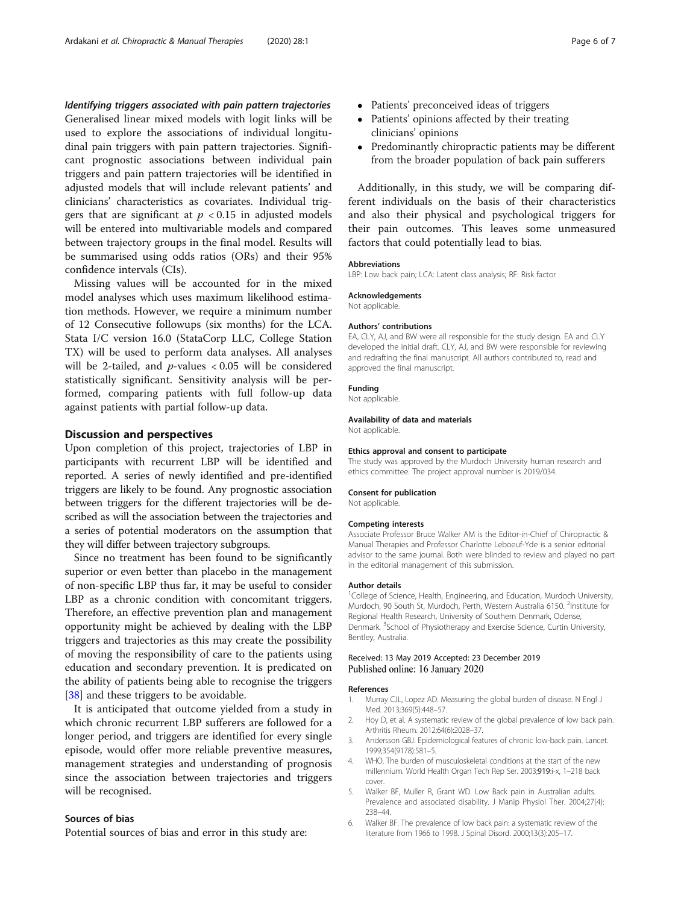<span id="page-6-0"></span>Identifying triggers associated with pain pattern trajectories

Generalised linear mixed models with logit links will be used to explore the associations of individual longitudinal pain triggers with pain pattern trajectories. Significant prognostic associations between individual pain triggers and pain pattern trajectories will be identified in adjusted models that will include relevant patients' and clinicians' characteristics as covariates. Individual triggers that are significant at  $p < 0.15$  in adjusted models will be entered into multivariable models and compared between trajectory groups in the final model. Results will be summarised using odds ratios (ORs) and their 95% confidence intervals (CIs).

Missing values will be accounted for in the mixed model analyses which uses maximum likelihood estimation methods. However, we require a minimum number of 12 Consecutive followups (six months) for the LCA. Stata I/C version 16.0 (StataCorp LLC, College Station TX) will be used to perform data analyses. All analyses will be 2-tailed, and p-values < 0.05 will be considered statistically significant. Sensitivity analysis will be performed, comparing patients with full follow-up data against patients with partial follow-up data.

# Discussion and perspectives

Upon completion of this project, trajectories of LBP in participants with recurrent LBP will be identified and reported. A series of newly identified and pre-identified triggers are likely to be found. Any prognostic association between triggers for the different trajectories will be described as will the association between the trajectories and a series of potential moderators on the assumption that they will differ between trajectory subgroups.

Since no treatment has been found to be significantly superior or even better than placebo in the management of non-specific LBP thus far, it may be useful to consider LBP as a chronic condition with concomitant triggers. Therefore, an effective prevention plan and management opportunity might be achieved by dealing with the LBP triggers and trajectories as this may create the possibility of moving the responsibility of care to the patients using education and secondary prevention. It is predicated on the ability of patients being able to recognise the triggers [[38\]](#page-7-0) and these triggers to be avoidable.

It is anticipated that outcome yielded from a study in which chronic recurrent LBP sufferers are followed for a longer period, and triggers are identified for every single episode, would offer more reliable preventive measures, management strategies and understanding of prognosis since the association between trajectories and triggers will be recognised.

# Sources of bias

Potential sources of bias and error in this study are:

- Patients' preconceived ideas of triggers
- Patients' opinions affected by their treating clinicians' opinions
- Predominantly chiropractic patients may be different from the broader population of back pain sufferers

Additionally, in this study, we will be comparing different individuals on the basis of their characteristics and also their physical and psychological triggers for their pain outcomes. This leaves some unmeasured factors that could potentially lead to bias.

## Abbreviations

LBP: Low back pain; LCA: Latent class analysis; RF: Risk factor

#### Acknowledgements

Not applicable.

# Authors' contributions

EA, CLY, AJ, and BW were all responsible for the study design. EA and CLY developed the initial draft. CLY, AJ, and BW were responsible for reviewing and redrafting the final manuscript. All authors contributed to, read and approved the final manuscript.

# Funding

Not applicable.

# Availability of data and materials

Not applicable.

#### Ethics approval and consent to participate

The study was approved by the Murdoch University human research and ethics committee. The project approval number is 2019/034.

#### Consent for publication

Not applicable.

#### Competing interests

Associate Professor Bruce Walker AM is the Editor-in-Chief of Chiropractic & Manual Therapies and Professor Charlotte Leboeuf-Yde is a senior editorial advisor to the same journal. Both were blinded to review and played no part in the editorial management of this submission.

#### Author details

<sup>1</sup>College of Science, Health, Engineering, and Education, Murdoch University Murdoch, 90 South St, Murdoch, Perth, Western Australia 6150. <sup>2</sup>Institute for Regional Health Research, University of Southern Denmark, Odense, Denmark. <sup>3</sup>School of Physiotherapy and Exercise Science, Curtin University, Bentley, Australia.

#### Received: 13 May 2019 Accepted: 23 December 2019 Published online: 16 January 2020

#### References

- 1. Murray CJL, Lopez AD. Measuring the global burden of disease. N Engl J Med. 2013;369(5):448–57.
- 2. Hoy D, et al. A systematic review of the global prevalence of low back pain. Arthritis Rheum. 2012;64(6):2028–37.
- Andersson GBJ. Epidemiological features of chronic low-back pain. Lancet. 1999;354(9178):581–5.
- 4. WHO. The burden of musculoskeletal conditions at the start of the new millennium. World Health Organ Tech Rep Ser. 2003;919:i-x, 1–218 back cover
- 5. Walker BF, Muller R, Grant WD. Low Back pain in Australian adults. Prevalence and associated disability. J Manip Physiol Ther. 2004;27(4): 238–44.
- 6. Walker BF. The prevalence of low back pain: a systematic review of the literature from 1966 to 1998. J Spinal Disord. 2000;13(3):205–17.